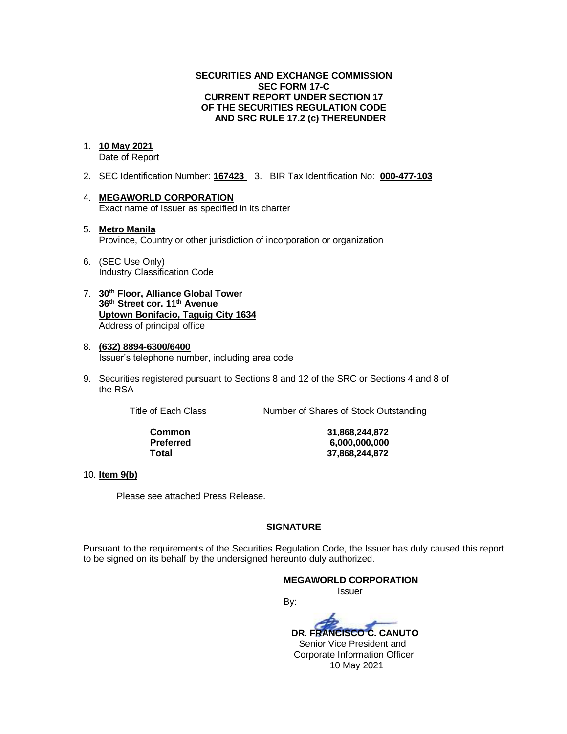#### **SECURITIES AND EXCHANGE COMMISSION SEC FORM 17-C CURRENT REPORT UNDER SECTION 17 OF THE SECURITIES REGULATION CODE AND SRC RULE 17.2 (c) THEREUNDER**

### 1. **10 May 2021**

Date of Report

- 2. SEC Identification Number: **167423** 3. BIR Tax Identification No: **000-477-103**
- 4. **MEGAWORLD CORPORATION** Exact name of Issuer as specified in its charter
- 5. **Metro Manila** Province, Country or other jurisdiction of incorporation or organization
- 6. (SEC Use Only) Industry Classification Code
- 7. **30th Floor, Alliance Global Tower 36th Street cor. 11th Avenue Uptown Bonifacio, Taguig City 1634** Address of principal office
- 8. **(632) 8894-6300/6400** Issuer's telephone number, including area code
- 9. Securities registered pursuant to Sections 8 and 12 of the SRC or Sections 4 and 8 of the RSA

Title of Each Class Number of Shares of Stock Outstanding

**Common 31,868,244,872 Preferred 6,000,000,000 Total 37,868,244,872**

### 10. **Item 9(b)**

Please see attached Press Release.

### **SIGNATURE**

Pursuant to the requirements of the Securities Regulation Code, the Issuer has duly caused this report to be signed on its behalf by the undersigned hereunto duly authorized.

By:

#### **MEGAWORLD CORPORATION**

Issuer

 **DR. FRANCISCO C. CANUTO** Senior Vice President and Corporate Information Officer 10 May 2021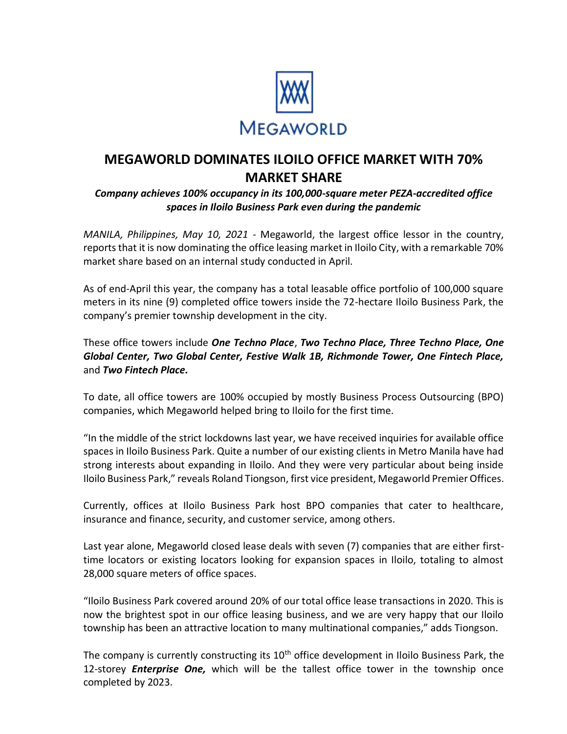

## **MEGAWORLD DOMINATES ILOILO OFFICE MARKET WITH 70% MARKET SHARE**

### *Company achieves 100% occupancy in its 100,000-square meter PEZA-accredited office spaces in Iloilo Business Park even during the pandemic*

*MANILA, Philippines, May 10, 2021 -* Megaworld, the largest office lessor in the country, reports that it is now dominating the office leasing market in Iloilo City, with a remarkable 70% market share based on an internal study conducted in April.

As of end-April this year, the company has a total leasable office portfolio of 100,000 square meters in its nine (9) completed office towers inside the 72-hectare Iloilo Business Park, the company's premier township development in the city.

These office towers include *One Techno Place*, *Two Techno Place, Three Techno Place, One Global Center, Two Global Center, Festive Walk 1B, Richmonde Tower, One Fintech Place,* and *Two Fintech Place.* 

To date, all office towers are 100% occupied by mostly Business Process Outsourcing (BPO) companies, which Megaworld helped bring to Iloilo for the first time.

"In the middle of the strict lockdowns last year, we have received inquiries for available office spaces in Iloilo Business Park. Quite a number of our existing clients in Metro Manila have had strong interests about expanding in Iloilo. And they were very particular about being inside Iloilo Business Park," reveals Roland Tiongson, first vice president, Megaworld Premier Offices.

Currently, offices at Iloilo Business Park host BPO companies that cater to healthcare, insurance and finance, security, and customer service, among others.

Last year alone, Megaworld closed lease deals with seven (7) companies that are either firsttime locators or existing locators looking for expansion spaces in Iloilo, totaling to almost 28,000 square meters of office spaces.

"Iloilo Business Park covered around 20% of our total office lease transactions in 2020. This is now the brightest spot in our office leasing business, and we are very happy that our Iloilo township has been an attractive location to many multinational companies," adds Tiongson.

The company is currently constructing its  $10<sup>th</sup>$  office development in Iloilo Business Park, the 12-storey *Enterprise One,* which will be the tallest office tower in the township once completed by 2023.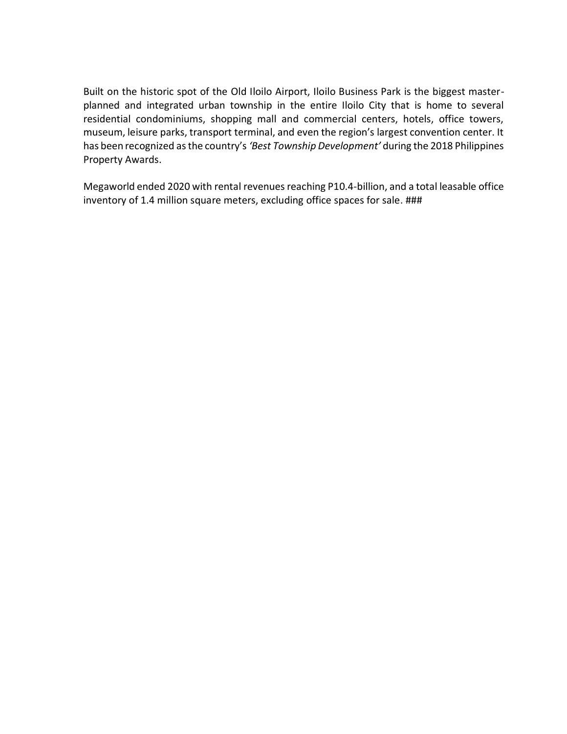Built on the historic spot of the Old Iloilo Airport, Iloilo Business Park is the biggest masterplanned and integrated urban township in the entire Iloilo City that is home to several residential condominiums, shopping mall and commercial centers, hotels, office towers, museum, leisure parks, transport terminal, and even the region's largest convention center. It has been recognized asthe country's *'Best Township Development'* during the 2018 Philippines Property Awards.

Megaworld ended 2020 with rental revenues reaching P10.4-billion, and a total leasable office inventory of 1.4 million square meters, excluding office spaces for sale. ###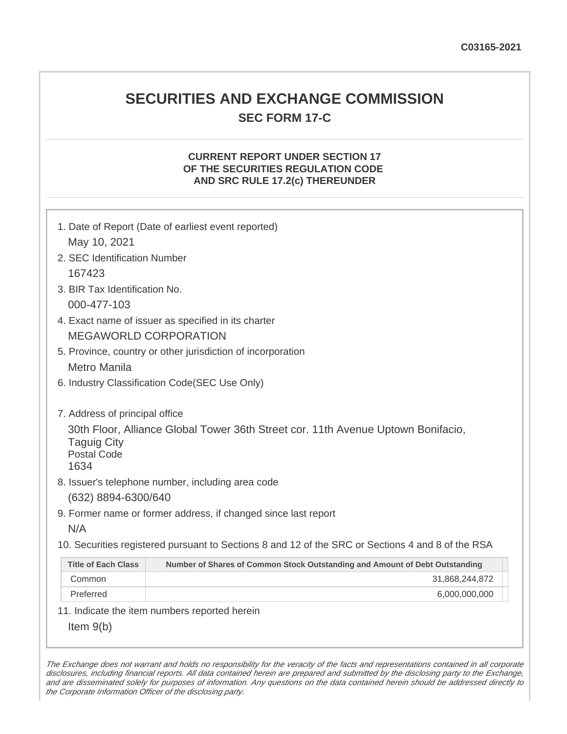# **SECURITIES AND EXCHANGE COMMISSION SEC FORM 17-C**

### **CURRENT REPORT UNDER SECTION 17 OF THE SECURITIES REGULATION CODE AND SRC RULE 17.2(c) THEREUNDER**

| 1. Date of Report (Date of earliest event reported)<br>May 10, 2021                                                                                                    |                                                                                                   |  |
|------------------------------------------------------------------------------------------------------------------------------------------------------------------------|---------------------------------------------------------------------------------------------------|--|
| 2. SEC Identification Number                                                                                                                                           |                                                                                                   |  |
| 167423                                                                                                                                                                 |                                                                                                   |  |
| 3. BIR Tax Identification No.                                                                                                                                          |                                                                                                   |  |
| 000-477-103                                                                                                                                                            |                                                                                                   |  |
| 4. Exact name of issuer as specified in its charter                                                                                                                    |                                                                                                   |  |
| <b>MEGAWORLD CORPORATION</b>                                                                                                                                           |                                                                                                   |  |
| 5. Province, country or other jurisdiction of incorporation                                                                                                            |                                                                                                   |  |
| <b>Metro Manila</b>                                                                                                                                                    |                                                                                                   |  |
| 6. Industry Classification Code(SEC Use Only)                                                                                                                          |                                                                                                   |  |
| 7. Address of principal office<br>30th Floor, Alliance Global Tower 36th Street cor. 11th Avenue Uptown Bonifacio,<br><b>Taguig City</b><br><b>Postal Code</b><br>1634 |                                                                                                   |  |
| 8. Issuer's telephone number, including area code<br>(632) 8894-6300/640                                                                                               |                                                                                                   |  |
|                                                                                                                                                                        | 9. Former name or former address, if changed since last report                                    |  |
| N/A                                                                                                                                                                    |                                                                                                   |  |
|                                                                                                                                                                        | 10. Securities registered pursuant to Sections 8 and 12 of the SRC or Sections 4 and 8 of the RSA |  |
| <b>Title of Each Class</b>                                                                                                                                             | Number of Shares of Common Stock Outstanding and Amount of Debt Outstanding                       |  |
| Common                                                                                                                                                                 | 31,868,244,872                                                                                    |  |
| Preferred                                                                                                                                                              | 6,000,000,000                                                                                     |  |
|                                                                                                                                                                        | 11. Indicate the item numbers reported herein                                                     |  |
| Item $9(b)$                                                                                                                                                            |                                                                                                   |  |

The Exchange does not warrant and holds no responsibility for the veracity of the facts and representations contained in all corporate disclosures, including financial reports. All data contained herein are prepared and submitted by the disclosing party to the Exchange, and are disseminated solely for purposes of information. Any questions on the data contained herein should be addressed directly to the Corporate Information Officer of the disclosing party.